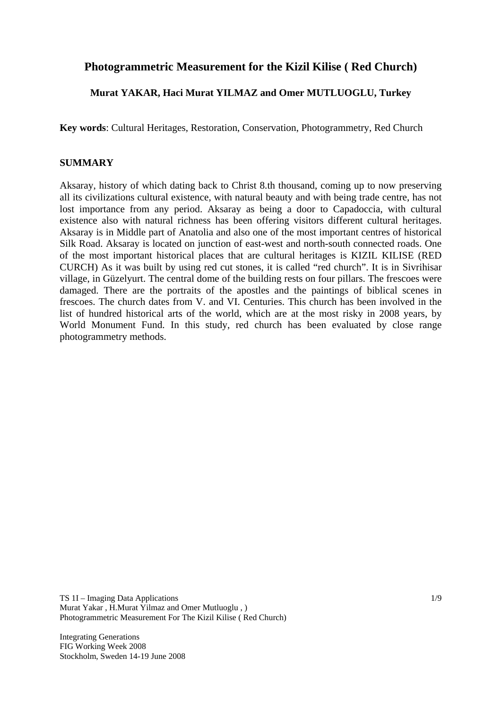# **Photogrammetric Measurement for the Kizil Kilise ( Red Church)**

### **Murat YAKAR, Haci Murat YILMAZ and Omer MUTLUOGLU, Turkey**

**Key words**: Cultural Heritages, Restoration, Conservation, Photogrammetry, Red Church

### **SUMMARY**

Aksaray, history of which dating back to Christ 8.th thousand, coming up to now preserving all its civilizations cultural existence, with natural beauty and with being trade centre, has not lost importance from any period. Aksaray as being a door to Capadoccia, with cultural existence also with natural richness has been offering visitors different cultural heritages. Aksaray is in Middle part of Anatolia and also one of the most important centres of historical Silk Road. Aksaray is located on junction of east-west and north-south connected roads. One of the most important historical places that are cultural heritages is KIZIL KILISE (RED CURCH) As it was built by using red cut stones, it is called "red church". It is in Sivrihisar village, in Güzelyurt. The central dome of the building rests on four pillars. The frescoes were damaged. There are the portraits of the apostles and the paintings of biblical scenes in frescoes. The church dates from V. and VI. Centuries. This church has been involved in the list of hundred historical arts of the world, which are at the most risky in 2008 years, by World Monument Fund. In this study, red church has been evaluated by close range photogrammetry methods.

TS 1I – Imaging Data Applications Murat Yakar , H.Murat Yilmaz and Omer Mutluoglu , ) Photogrammetric Measurement For The Kizil Kilise ( Red Church)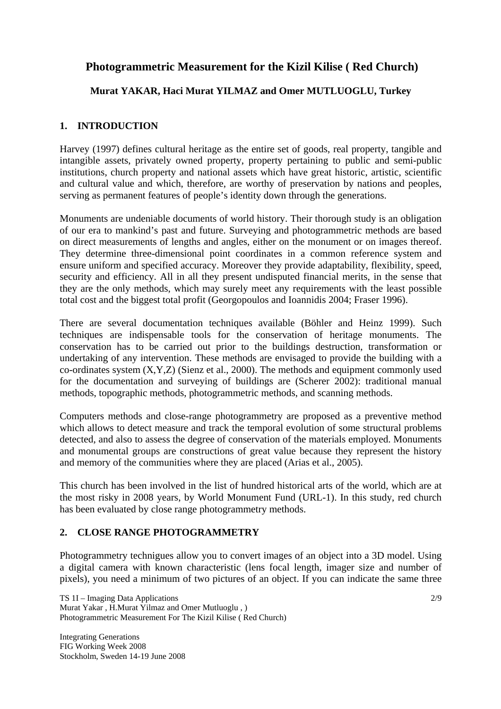# **Photogrammetric Measurement for the Kizil Kilise ( Red Church)**

## **Murat YAKAR, Haci Murat YILMAZ and Omer MUTLUOGLU, Turkey**

### **1. INTRODUCTION**

Harvey (1997) defines cultural heritage as the entire set of goods, real property, tangible and intangible assets, privately owned property, property pertaining to public and semi-public institutions, church property and national assets which have great historic, artistic, scientific and cultural value and which, therefore, are worthy of preservation by nations and peoples, serving as permanent features of people's identity down through the generations.

Monuments are undeniable documents of world history. Their thorough study is an obligation of our era to mankind's past and future. Surveying and photogrammetric methods are based on direct measurements of lengths and angles, either on the monument or on images thereof. They determine three-dimensional point coordinates in a common reference system and ensure uniform and specified accuracy. Moreover they provide adaptability, flexibility, speed, security and efficiency. All in all they present undisputed financial merits, in the sense that they are the only methods, which may surely meet any requirements with the least possible total cost and the biggest total profit (Georgopoulos and Ioannidis 2004; Fraser 1996).

There are several documentation techniques available (Böhler and Heinz 1999). Such techniques are indispensable tools for the conservation of heritage monuments. The conservation has to be carried out prior to the buildings destruction, transformation or undertaking of any intervention. These methods are envisaged to provide the building with a co-ordinates system (X,Y,Z) (Sienz et al., 2000). The methods and equipment commonly used for the documentation and surveying of buildings are (Scherer 2002): traditional manual methods, topographic methods, photogrammetric methods, and scanning methods.

Computers methods and close-range photogrammetry are proposed as a preventive method which allows to detect measure and track the temporal evolution of some structural problems detected, and also to assess the degree of conservation of the materials employed. Monuments and monumental groups are constructions of great value because they represent the history and memory of the communities where they are placed (Arias et al., 2005).

This church has been involved in the list of hundred historical arts of the world, which are at the most risky in 2008 years, by World Monument Fund (URL-1). In this study, red church has been evaluated by close range photogrammetry methods.

## **2. CLOSE RANGE PHOTOGRAMMETRY**

Photogrammetry technigues allow you to convert images of an object into a 3D model. Using a digital camera with known characteristic (lens focal length, imager size and number of pixels), you need a minimum of two pictures of an object. If you can indicate the same three

TS 1I – Imaging Data Applications Murat Yakar , H.Murat Yilmaz and Omer Mutluoglu , ) Photogrammetric Measurement For The Kizil Kilise ( Red Church)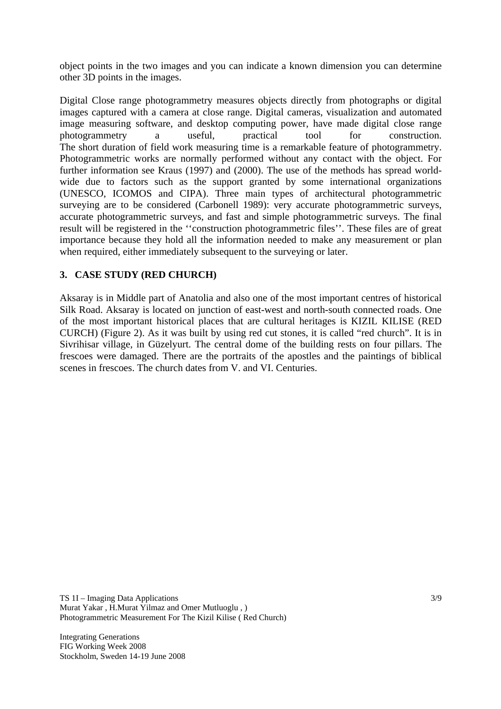object points in the two images and you can indicate a known dimension you can determine other 3D points in the images.

Digital Close range photogrammetry measures objects directly from photographs or digital images captured with a camera at close range. Digital cameras, visualization and automated image measuring software, and desktop computing power, have made digital close range photogrammetry a useful, practical tool for construction. The short duration of field work measuring time is a remarkable feature of photogrammetry. Photogrammetric works are normally performed without any contact with the object. For further information see Kraus (1997) and (2000). The use of the methods has spread worldwide due to factors such as the support granted by some international organizations (UNESCO, ICOMOS and CIPA). Three main types of architectural photogrammetric surveying are to be considered (Carbonell 1989): very accurate photogrammetric surveys, accurate photogrammetric surveys, and fast and simple photogrammetric surveys. The final result will be registered in the ''construction photogrammetric files''. These files are of great importance because they hold all the information needed to make any measurement or plan when required, either immediately subsequent to the surveying or later.

### **3. CASE STUDY (RED CHURCH)**

Aksaray is in Middle part of Anatolia and also one of the most important centres of historical Silk Road. Aksaray is located on junction of east-west and north-south connected roads. One of the most important historical places that are cultural heritages is KIZIL KILISE (RED CURCH) (Figure 2). As it was built by using red cut stones, it is called "red church". It is in Sivrihisar village, in Güzelyurt. The central dome of the building rests on four pillars. The frescoes were damaged. There are the portraits of the apostles and the paintings of biblical scenes in frescoes. The church dates from V. and VI. Centuries.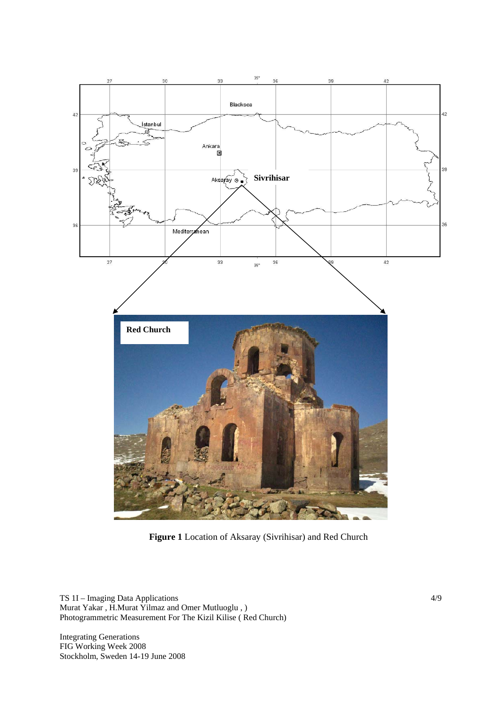

**Figure 1** Location of Aksaray (Sivrihisar) and Red Church

TS 1I – Imaging Data Applications Murat Yakar , H.Murat Yilmaz and Omer Mutluoglu , ) Photogrammetric Measurement For The Kizil Kilise ( Red Church)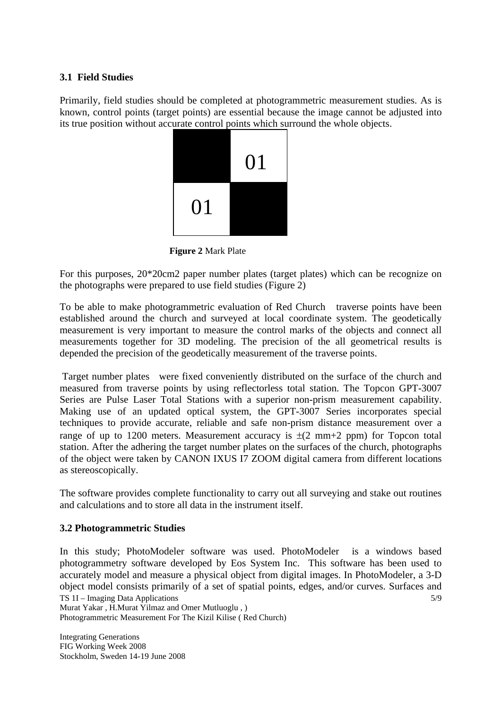#### **3.1 Field Studies**

Primarily, field studies should be completed at photogrammetric measurement studies. As is known, control points (target points) are essential because the image cannot be adjusted into its true position without accurate control points which surround the whole objects.



**Figure 2** Mark Plate

For this purposes, 20\*20cm2 paper number plates (target plates) which can be recognize on the photographs were prepared to use field studies (Figure 2)

To be able to make photogrammetric evaluation of Red Church traverse points have been established around the church and surveyed at local coordinate system. The geodetically measurement is very important to measure the control marks of the objects and connect all measurements together for 3D modeling. The precision of the all geometrical results is depended the precision of the geodetically measurement of the traverse points.

 Target number plates were fixed conveniently distributed on the surface of the church and measured from traverse points by using reflectorless total station. The Topcon GPT-3007 Series are Pulse Laser Total Stations with a superior non-prism measurement capability. Making use of an updated optical system, the GPT-3007 Series incorporates special techniques to provide accurate, reliable and safe non-prism distance measurement over a range of up to 1200 meters. Measurement accuracy is  $\pm$ (2 mm+2 ppm) for Topcon total station. After the adhering the target number plates on the surfaces of the church, photographs of the object were taken by CANON IXUS I7 ZOOM digital camera from different locations as stereoscopically.

The software provides complete functionality to carry out all surveying and stake out routines and calculations and to store all data in the instrument itself.

### **3.2 Photogrammetric Studies**

TS 1I – Imaging Data Applications Murat Yakar , H.Murat Yilmaz and Omer Mutluoglu , ) Photogrammetric Measurement For The Kizil Kilise ( Red Church) 5/9 In this study; PhotoModeler software was used. PhotoModeler is a windows based photogrammetry software developed by Eos System Inc. This software has been used to accurately model and measure a physical object from digital images. In PhotoModeler, a 3-D object model consists primarily of a set of spatial points, edges, and/or curves. Surfaces and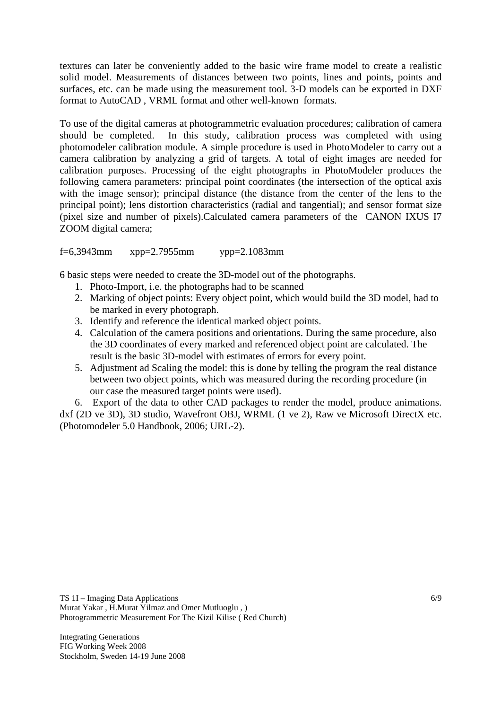textures can later be conveniently added to the basic wire frame model to create a realistic solid model. Measurements of distances between two points, lines and points, points and surfaces, etc. can be made using the measurement tool. 3-D models can be exported in DXF format to AutoCAD , VRML format and other well-known formats.

To use of the digital cameras at photogrammetric evaluation procedures; calibration of camera should be completed. In this study, calibration process was completed with using photomodeler calibration module. A simple procedure is used in PhotoModeler to carry out a camera calibration by analyzing a grid of targets. A total of eight images are needed for calibration purposes. Processing of the eight photographs in PhotoModeler produces the following camera parameters: principal point coordinates (the intersection of the optical axis with the image sensor); principal distance (the distance from the center of the lens to the principal point); lens distortion characteristics (radial and tangential); and sensor format size (pixel size and number of pixels).Calculated camera parameters of the CANON IXUS I7 ZOOM digital camera;

f=6,3943mm xpp=2.7955mm ypp=2.1083mm

6 basic steps were needed to create the 3D-model out of the photographs.

- 1. Photo-Import, i.e. the photographs had to be scanned
- 2. Marking of object points: Every object point, which would build the 3D model, had to be marked in every photograph.
- 3. Identify and reference the identical marked object points.
- 4. Calculation of the camera positions and orientations. During the same procedure, also the 3D coordinates of every marked and referenced object point are calculated. The result is the basic 3D-model with estimates of errors for every point.
- 5. Adjustment ad Scaling the model: this is done by telling the program the real distance between two object points, which was measured during the recording procedure (in our case the measured target points were used).

 6. Export of the data to other CAD packages to render the model, produce animations. dxf (2D ve 3D), 3D studio, Wavefront OBJ, WRML (1 ve 2), Raw ve Microsoft DirectX etc. (Photomodeler 5.0 Handbook, 2006; URL-2).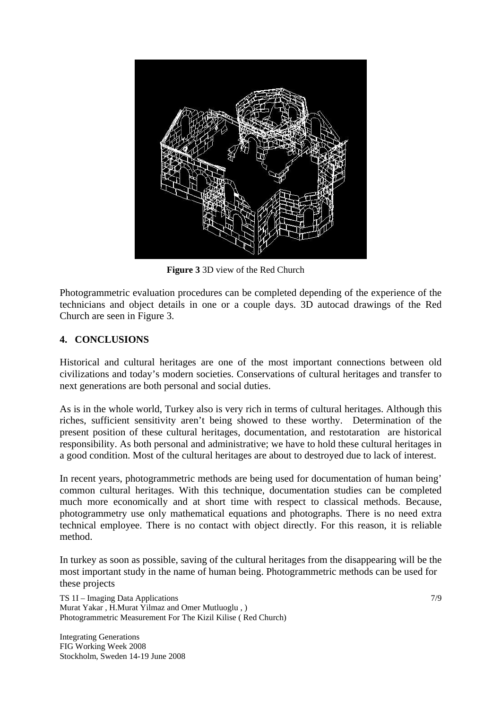

**Figure 3** 3D view of the Red Church

Photogrammetric evaluation procedures can be completed depending of the experience of the technicians and object details in one or a couple days. 3D autocad drawings of the Red Church are seen in Figure 3.

### **4. CONCLUSIONS**

Historical and cultural heritages are one of the most important connections between old civilizations and today's modern societies. Conservations of cultural heritages and transfer to next generations are both personal and social duties.

As is in the whole world, Turkey also is very rich in terms of cultural heritages. Although this riches, sufficient sensitivity aren't being showed to these worthy. Determination of the present position of these cultural heritages, documentation, and restotaration are historical responsibility. As both personal and administrative; we have to hold these cultural heritages in a good condition. Most of the cultural heritages are about to destroyed due to lack of interest.

In recent years, photogrammetric methods are being used for documentation of human being' common cultural heritages. With this technique, documentation studies can be completed much more economically and at short time with respect to classical methods. Because, photogrammetry use only mathematical equations and photographs. There is no need extra technical employee. There is no contact with object directly. For this reason, it is reliable method.

In turkey as soon as possible, saving of the cultural heritages from the disappearing will be the most important study in the name of human being. Photogrammetric methods can be used for these projects

TS 1I – Imaging Data Applications Murat Yakar , H.Murat Yilmaz and Omer Mutluoglu , ) Photogrammetric Measurement For The Kizil Kilise ( Red Church)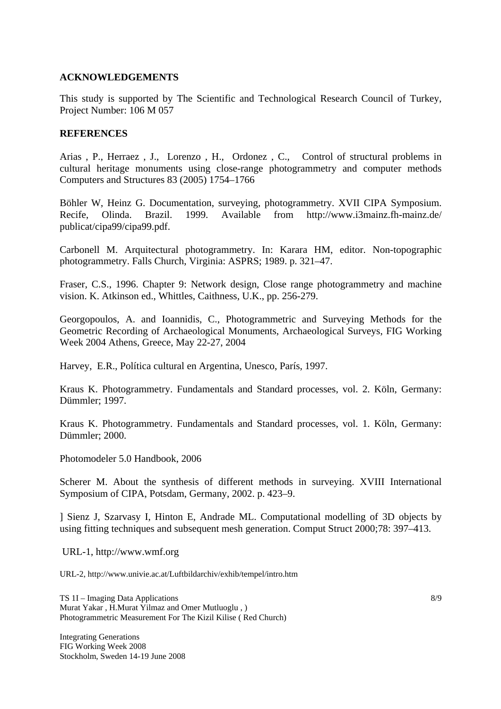#### **ACKNOWLEDGEMENTS**

This study is supported by The Scientific and Technological Research Council of Turkey, Project Number: 106 M 057

#### **REFERENCES**

Arias , P., Herraez , J., Lorenzo , H., Ordonez , C., Control of structural problems in cultural heritage monuments using close-range photogrammetry and computer methods Computers and Structures 83 (2005) 1754–1766

Böhler W, Heinz G. Documentation, surveying, photogrammetry. XVII CIPA Symposium. Recife, Olinda. Brazil. 1999. Available from http://www.i3mainz.fh-mainz.de/ publicat/cipa99/cipa99.pdf.

Carbonell M. Arquitectural photogrammetry. In: Karara HM, editor. Non-topographic photogrammetry. Falls Church, Virginia: ASPRS; 1989. p. 321–47.

Fraser, C.S., 1996. Chapter 9: Network design, Close range photogrammetry and machine vision. K. Atkinson ed., Whittles, Caithness, U.K., pp. 256-279.

Georgopoulos, A. and Ioannidis, C., Photogrammetric and Surveying Methods for the Geometric Recording of Archaeological Monuments, Archaeological Surveys, FIG Working Week 2004 Athens, Greece, May 22-27, 2004

Harvey, E.R., Política cultural en Argentina, Unesco, París, 1997.

Kraus K. Photogrammetry. Fundamentals and Standard processes, vol. 2. Köln, Germany: Dümmler; 1997.

Kraus K. Photogrammetry. Fundamentals and Standard processes, vol. 1. Köln, Germany: Dümmler; 2000.

Photomodeler 5.0 Handbook, 2006

Scherer M. About the synthesis of different methods in surveying. XVIII International Symposium of CIPA, Potsdam, Germany, 2002. p. 423–9.

] Sienz J, Szarvasy I, Hinton E, Andrade ML. Computational modelling of 3D objects by using fitting techniques and subsequent mesh generation. Comput Struct 2000;78: 397–413.

URL-1, http://www.wmf.org

URL-2, http://www.univie.ac.at/Luftbildarchiv/exhib/tempel/intro.htm

TS 1I – Imaging Data Applications Murat Yakar , H.Murat Yilmaz and Omer Mutluoglu , ) Photogrammetric Measurement For The Kizil Kilise ( Red Church)